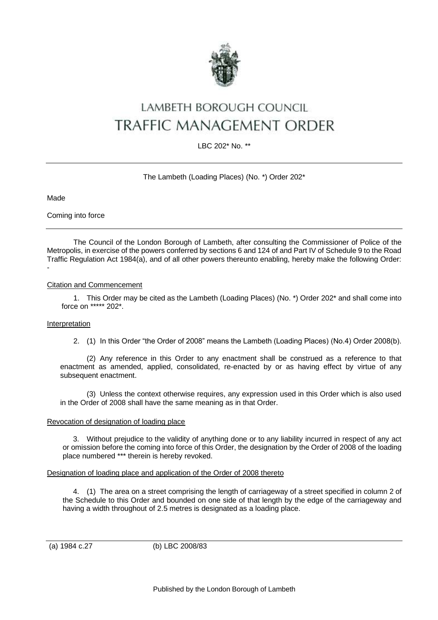

# LAMBETH BOROUGH COUNCIL **TRAFFIC MANAGEMENT ORDER**

LBC 202\* No. \*\*

# The Lambeth (Loading Places) (No. \*) Order 202\*

Made

Coming into force

The Council of the London Borough of Lambeth, after consulting the Commissioner of Police of the Metropolis, in exercise of the powers conferred by sections 6 and 124 of and Part IV of Schedule 9 to the Road Traffic Regulation Act 1984(a), and of all other powers thereunto enabling, hereby make the following Order: -

### Citation and Commencement

1. This Order may be cited as the Lambeth (Loading Places) (No. \*) Order 202\* and shall come into force on \*\*\*\*\* 202\*.

#### Interpretation

2. (1) In this Order "the Order of 2008" means the Lambeth (Loading Places) (No.4) Order 2008(b).

(2) Any reference in this Order to any enactment shall be construed as a reference to that enactment as amended, applied, consolidated, re-enacted by or as having effect by virtue of any subsequent enactment.

(3) Unless the context otherwise requires, any expression used in this Order which is also used in the Order of 2008 shall have the same meaning as in that Order.

## Revocation of designation of loading place

3. Without prejudice to the validity of anything done or to any liability incurred in respect of any act or omission before the coming into force of this Order, the designation by the Order of 2008 of the loading place numbered \*\*\* therein is hereby revoked.

#### Designation of loading place and application of the Order of 2008 thereto

4. (1) The area on a street comprising the length of carriageway of a street specified in column 2 of the Schedule to this Order and bounded on one side of that length by the edge of the carriageway and having a width throughout of 2.5 metres is designated as a loading place.

(a) 1984 c.27 (b) LBC 2008/83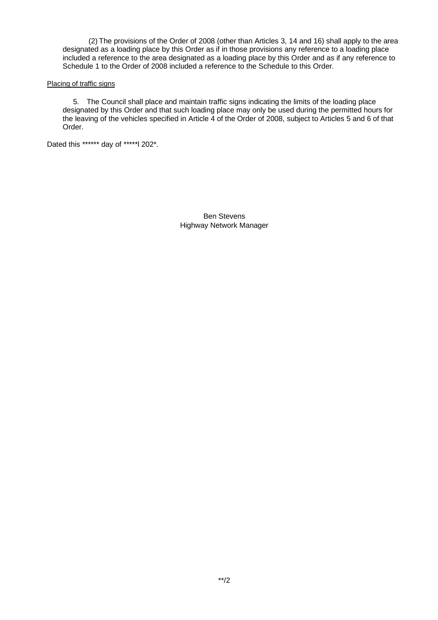(2) The provisions of the Order of 2008 (other than Articles 3, 14 and 16) shall apply to the area designated as a loading place by this Order as if in those provisions any reference to a loading place included a reference to the area designated as a loading place by this Order and as if any reference to Schedule 1 to the Order of 2008 included a reference to the Schedule to this Order.

#### Placing of traffic signs

5. The Council shall place and maintain traffic signs indicating the limits of the loading place designated by this Order and that such loading place may only be used during the permitted hours for the leaving of the vehicles specified in Article 4 of the Order of 2008, subject to Articles 5 and 6 of that Order.

Dated this \*\*\*\*\*\* day of \*\*\*\*\*l 202\*.

Ben Stevens Highway Network Manager